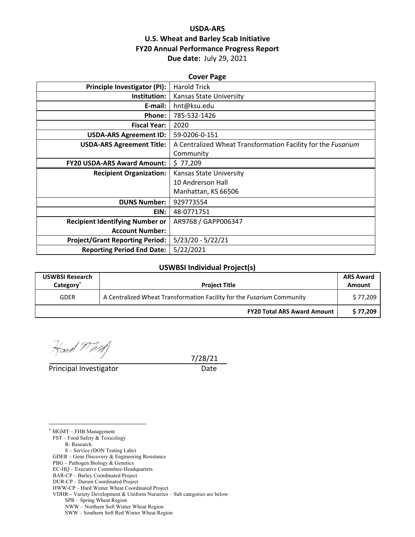# **USDA‐ARS U.S. Wheat and Barley Scab Initiative FY20 Annual Performance Progress Report Due date:** July 29, 2021

| <b>Cover Page</b>                      |                                                              |  |  |  |  |
|----------------------------------------|--------------------------------------------------------------|--|--|--|--|
| <b>Principle Investigator (PI):</b>    | <b>Harold Trick</b>                                          |  |  |  |  |
| Institution:                           | <b>Kansas State University</b>                               |  |  |  |  |
| E-mail:                                | hnt@ksu.edu                                                  |  |  |  |  |
| <b>Phone:</b>                          | 785-532-1426                                                 |  |  |  |  |
| <b>Fiscal Year:</b>                    | 2020                                                         |  |  |  |  |
| <b>USDA-ARS Agreement ID:</b>          | 59-0206-0-151                                                |  |  |  |  |
| <b>USDA-ARS Agreement Title:</b>       | A Centralized Wheat Transformation Facility for the Fusarium |  |  |  |  |
|                                        | Community                                                    |  |  |  |  |
| <b>FY20 USDA-ARS Award Amount:</b>     | \$77,209                                                     |  |  |  |  |
| <b>Recipient Organization:</b>         | <b>Kansas State University</b>                               |  |  |  |  |
|                                        | 10 Andrerson Hall                                            |  |  |  |  |
|                                        | Manhattan, KS 66506                                          |  |  |  |  |
| <b>DUNS Number:</b>                    | 929773554                                                    |  |  |  |  |
| EIN:                                   | 48-0771751                                                   |  |  |  |  |
| <b>Recipient Identifying Number or</b> | AR9768 / GAPP006347                                          |  |  |  |  |
| <b>Account Number:</b>                 |                                                              |  |  |  |  |
| <b>Project/Grant Reporting Period:</b> | $5/23/20 - 5/22/21$                                          |  |  |  |  |
| <b>Reporting Period End Date:</b>      | 5/22/2021                                                    |  |  |  |  |

#### **USWBSI Individual Project(s)**

| <b>USWBSI Research</b><br>Category <sup>*</sup> | <b>Project Title</b>                                                   | <b>ARS Award</b><br>Amount |
|-------------------------------------------------|------------------------------------------------------------------------|----------------------------|
| <b>GDER</b>                                     | A Centralized Wheat Transformation Facility for the Fusarium Community | \$77,209                   |
|                                                 | <b>FY20 Total ARS Award Amount</b>                                     | \$77,209                   |

Hard Mary

Principal Investigator **Date** 

7/28/21

\* MGMT – FHB Management

 $\overline{a}$ 

FST – Food Safety & Toxicology

- R- Research
- S Service (DON Testing Labs)

GDER – Gene Discovery & Engineering Resistance

- PBG Pathogen Biology & Genetics
- EC-HQ Executive Committee-Headquarters BAR-CP – Barley Coordinated Project
- DUR-CP Durum Coordinated Project

HWW-CP – Hard Winter Wheat Coordinated Project

VDHR – Variety Development & Uniform Nurseries – Sub categories are below:

SPR – Spring Wheat Region

NWW – Northern Soft Winter Wheat Region

SWW – Southern Soft Red Winter Wheat Region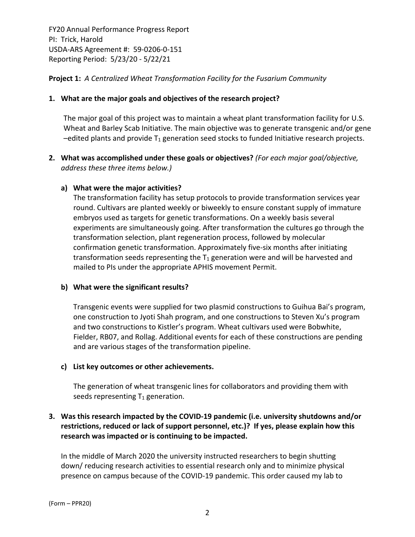### **Project 1:** *A Centralized Wheat Transformation Facility for the Fusarium Community*

#### **1. What are the major goals and objectives of the research project?**

The major goal of this project was to maintain a wheat plant transformation facility for U.S. Wheat and Barley Scab Initiative. The main objective was to generate transgenic and/or gene  $-e$ dited plants and provide  $T_1$  generation seed stocks to funded Initiative research projects.

**2. What was accomplished under these goals or objectives?** *(For each major goal/objective, address these three items below.)*

### **a) What were the major activities?**

The transformation facility has setup protocols to provide transformation services year round. Cultivars are planted weekly or biweekly to ensure constant supply of immature embryos used as targets for genetic transformations. On a weekly basis several experiments are simultaneously going. After transformation the cultures go through the transformation selection, plant regeneration process, followed by molecular confirmation genetic transformation. Approximately five‐six months after initiating transformation seeds representing the  $T_1$  generation were and will be harvested and mailed to PIs under the appropriate APHIS movement Permit.

#### **b) What were the significant results?**

Transgenic events were supplied for two plasmid constructions to Guihua Bai's program, one construction to Jyoti Shah program, and one constructions to Steven Xu's program and two constructions to Kistler's program. Wheat cultivars used were Bobwhite, Fielder, RB07, and Rollag. Additional events for each of these constructions are pending and are various stages of the transformation pipeline.

#### **c) List key outcomes or other achievements.**

The generation of wheat transgenic lines for collaborators and providing them with seeds representing  $T_1$  generation.

# **3. Was this research impacted by the COVID‐19 pandemic (i.e. university shutdowns and/or restrictions, reduced or lack of support personnel, etc.)? If yes, please explain how this research was impacted or is continuing to be impacted.**

In the middle of March 2020 the university instructed researchers to begin shutting down/ reducing research activities to essential research only and to minimize physical presence on campus because of the COVID‐19 pandemic. This order caused my lab to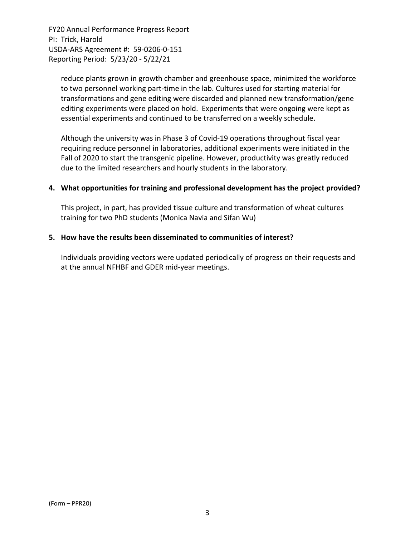reduce plants grown in growth chamber and greenhouse space, minimized the workforce to two personnel working part‐time in the lab. Cultures used for starting material for transformations and gene editing were discarded and planned new transformation/gene editing experiments were placed on hold. Experiments that were ongoing were kept as essential experiments and continued to be transferred on a weekly schedule.

Although the university was in Phase 3 of Covid‐19 operations throughout fiscal year requiring reduce personnel in laboratories, additional experiments were initiated in the Fall of 2020 to start the transgenic pipeline. However, productivity was greatly reduced due to the limited researchers and hourly students in the laboratory.

### **4. What opportunities for training and professional development has the project provided?**

This project, in part, has provided tissue culture and transformation of wheat cultures training for two PhD students (Monica Navia and Sifan Wu)

#### **5. How have the results been disseminated to communities of interest?**

Individuals providing vectors were updated periodically of progress on their requests and at the annual NFHBF and GDER mid‐year meetings.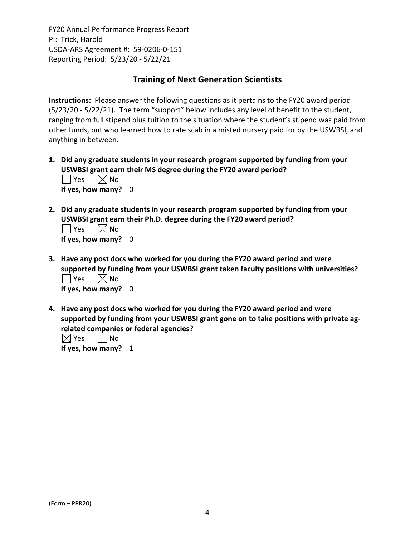# **Training of Next Generation Scientists**

**Instructions:** Please answer the following questions as it pertains to the FY20 award period (5/23/20 ‐ 5/22/21). The term "support" below includes any level of benefit to the student, ranging from full stipend plus tuition to the situation where the student's stipend was paid from other funds, but who learned how to rate scab in a misted nursery paid for by the USWBSI, and anything in between.

- **1. Did any graduate students in your research program supported by funding from your USWBSI grant earn their MS degree during the FY20 award period?**  $\Box$  Yes  $\Box$  No **If yes, how many?** 0
- **2. Did any graduate students in your research program supported by funding from your USWBSI grant earn their Ph.D. degree during the FY20 award period?**

| $\Box$ Yes $\Box$ No  |  |
|-----------------------|--|
| If yes, how many? $0$ |  |

- **3. Have any post docs who worked for you during the FY20 award period and were supported by funding from your USWBSI grant taken faculty positions with universities?**  $\Box$  Yes  $\Box$  No **If yes, how many?** 0
- **4. Have any post docs who worked for you during the FY20 award period and were supported by funding from your USWBSI grant gone on to take positions with private ag‐ related companies or federal agencies?**

 $\boxtimes$  Yes  $\Box$  No **If yes, how many?** 1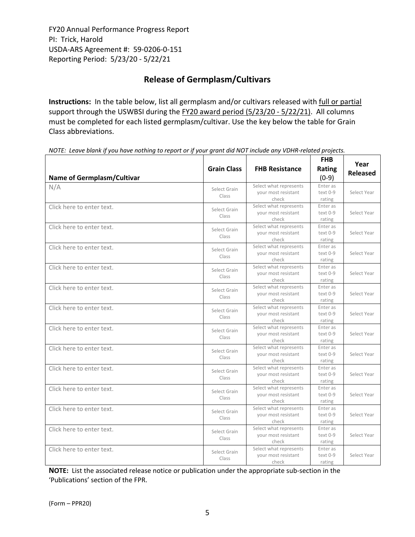# **Release of Germplasm/Cultivars**

**Instructions:** In the table below, list all germplasm and/or cultivars released with full or partial support through the USWBSI during the FY20 award period (5/23/20 - 5/22/21). All columns must be completed for each listed germplasm/cultivar. Use the key below the table for Grain Class abbreviations. 

|                                   |                       |                              | <b>FHB</b>           | Year            |
|-----------------------------------|-----------------------|------------------------------|----------------------|-----------------|
|                                   | <b>Grain Class</b>    | <b>FHB Resistance</b>        | <b>Rating</b>        |                 |
| <b>Name of Germplasm/Cultivar</b> |                       |                              | $(0-9)$              | <b>Released</b> |
| N/A                               |                       | Select what represents       | Enter as             |                 |
|                                   | Select Grain<br>Class | your most resistant          | text 0-9             | Select Year     |
|                                   |                       | check                        | rating               |                 |
| Click here to enter text.         | Select Grain          | Select what represents       | Enter as             |                 |
|                                   | Class                 | your most resistant          | text 0-9             | Select Year     |
|                                   |                       | check                        | rating               |                 |
| Click here to enter text.         | Select Grain          | Select what represents       | Enter as<br>text 0-9 | Select Year     |
|                                   | Class                 | your most resistant<br>check | rating               |                 |
| Click here to enter text.         |                       | Select what represents       | Enter as             |                 |
|                                   | Select Grain          | your most resistant          | text 0-9             | Select Year     |
|                                   | Class                 | check                        | rating               |                 |
| Click here to enter text.         |                       | Select what represents       | Enter as             |                 |
|                                   | Select Grain          | your most resistant          | text 0-9             | Select Year     |
|                                   | Class                 | check                        | rating               |                 |
| Click here to enter text.         |                       | Select what represents       | Enter as             |                 |
|                                   | Select Grain<br>Class | your most resistant          | text 0-9             | Select Year     |
|                                   |                       | check                        | rating               |                 |
| Click here to enter text.         | Select Grain          | Select what represents       | Enter as             |                 |
|                                   | Class                 | your most resistant          | text 0-9             | Select Year     |
|                                   |                       | check                        | rating               |                 |
| Click here to enter text.         | Select Grain          | Select what represents       | Enter as             |                 |
|                                   | Class                 | your most resistant          | text 0-9             | Select Year     |
|                                   |                       | check                        | rating               |                 |
| Click here to enter text.         | Select Grain          | Select what represents       | Enter as             |                 |
|                                   | Class                 | your most resistant<br>check | text 0-9<br>rating   | Select Year     |
| Click here to enter text.         |                       | Select what represents       | Enter as             |                 |
|                                   | Select Grain          | vour most resistant          | text 0-9             | Select Year     |
|                                   | Class                 | check                        | rating               |                 |
| Click here to enter text.         |                       | Select what represents       | Enter as             |                 |
|                                   | Select Grain          | your most resistant          | text 0-9             | Select Year     |
|                                   | Class                 | check                        | rating               |                 |
| Click here to enter text.         | Select Grain          | Select what represents       | Enter as             |                 |
|                                   | Class                 | your most resistant          | text 0-9             | Select Year     |
|                                   |                       | check                        | rating               |                 |
| Click here to enter text.         | Select Grain          | Select what represents       | Enter as             |                 |
|                                   | Class                 | your most resistant          | text 0-9             | Select Year     |
|                                   |                       | check                        | rating               |                 |
| Click here to enter text.         | Select Grain          | Select what represents       | Enter as             |                 |
|                                   | Class                 | your most resistant          | text 0-9             | Select Year     |
|                                   |                       | check                        | rating               |                 |

NOTE: Leave blank if you have nothing to report or if your grant did NOT include any VDHR-related projects.

**NOTE:** List the associated release notice or publication under the appropriate sub-section in the 'Publications' section of the FPR.